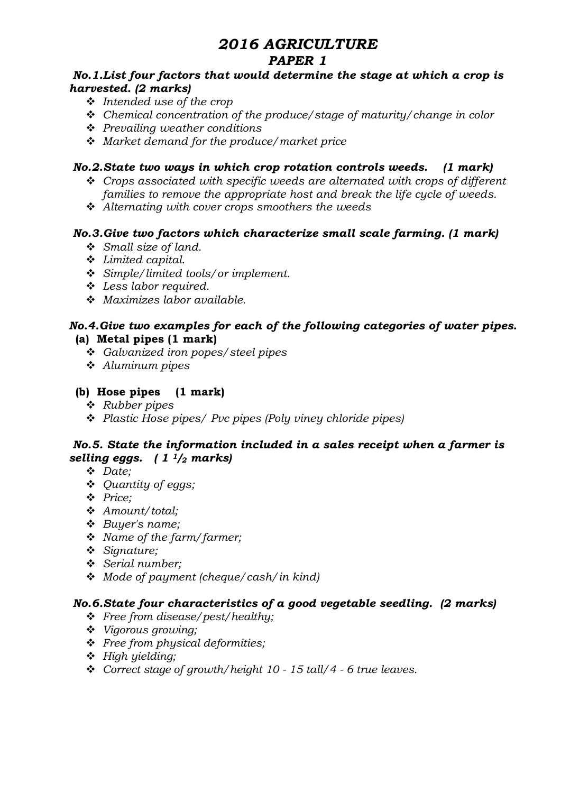# 2016 AGRICULTURE

# PAPER 1

#### No.1.List four factors that would determine the stage at which a crop is harvested. (2 marks)

- $\cdot \cdot$  Intended use of the crop
- $\div$  Chemical concentration of the produce/stage of maturity/change in color
- $\div$  Prevailing weather conditions
- $\div$  Market demand for the produce/market price

## No.2.State two ways in which crop rotation controls weeds. (1 mark)

- $\div$  Crops associated with specific weeds are alternated with crops of different families to remove the appropriate host and break the life cycle of weeds.
- $\triangle$  Alternating with cover crops smoothers the weeds

#### No.3.Give two factors which characterize small scale farming. (1 mark)

- $\div$  Small size of land.
- $\div$  Limited capital.
- $\div$  Simple/limited tools/or implement.
- v Less labor required.
- $\div$  Maximizes labor available.

#### No.4.Give two examples for each of the following categories of water pipes. (a) Metal pipes (1 mark)

- v Galvanized iron popes/steel pipes
- $\triangleleft$  Aluminum pipes

#### (b) Hose pipes (1 mark)

- $\triangleleft$  Rubber pipes
- $\triangle$  Plastic Hose pipes/ Pvc pipes (Poly viney chloride pipes)

## No.5. State the information included in a sales receipt when a farmer is selling eggs.  $(1<sup>1</sup>/2$  marks)

- v Date;
- ❖ *Ouantity of eggs*;
- v Price;
- v Amount/total;
- $\div$  Buyer's name;
- $\div$  Name of the farm/farmer;
- $\div$  Signature;
- Serial number;
- $\triangleleft$  Mode of payment (cheque/cash/in kind)

## No.6.State four characteristics of a good vegetable seedling. (2 marks)

- $\div$  Free from disease/pest/healthy;
- $\cdot$  Vigorous growing;
- $\div$  Free from physical deformities;
- $\div$  High yielding;
- $\div$  Correct stage of growth/height 10 15 tall/4 6 true leaves.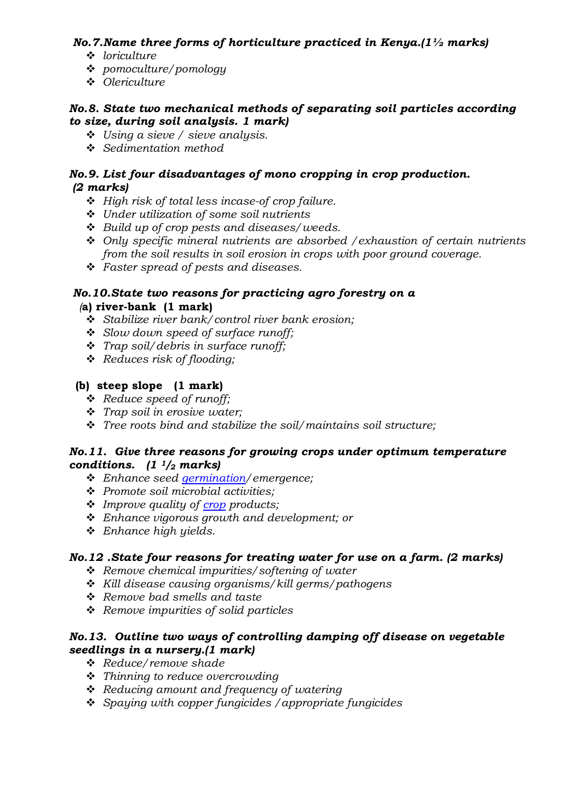## No.7. Name three forms of horticulture practiced in Kenya.  $(1\frac{1}{2})$  marks)

- $\div$  loriculture
- v pomoculture/pomology
- v Olericulture

#### No.8. State two mechanical methods of separating soil particles according to size, during soil analysis. 1 mark)

- $\div$  Using a sieve / sieve analysis.
- $\div$  Sedimentation method

#### No.9. List four disadvantages of mono cropping in crop production. (2 marks)

- $\div$  High risk of total less incase-of crop failure.
- \* Under utilization of some soil nutrients
- $\div$  Build up of crop pests and diseases/weeds.
- $\div$  Only specific mineral nutrients are absorbed / exhaustion of certain nutrients from the soil results in soil erosion in crops with poor ground coverage.
- $\div$  Faster spread of pests and diseases.

## No.10.State two reasons for practicing agro forestry on a

#### (a) river-bank (1 mark)

- $\div$  Stabilize river bank/control river bank erosion;
- Slow down speed of surface runoff;
- $\cdot$  Trap soil/debris in surface runoff;
- $\triangleleft$  Reduces risk of flooding;

## (b) steep slope (1 mark)

- $\stackrel{\cdot}{\bullet}$  Reduce speed of runoff;
- $\cdot \cdot$  Trap soil in erosive water;
- $\mathbf{\hat{P}}$  Tree roots bind and stabilize the soil/maintains soil structure;

#### No.11. Give three reasons for growing crops under optimum temperature conditions.  $(1<sup>1</sup>/2$  marks)

- \* Enhance seed germination/emergence;
- $\div$  Promote soil microbial activities:
- $\cdot$  Improve quality of crop products;
- $\triangleleft$  Enhance vigorous growth and development; or
- $\div$  Enhance high yields.

## No.12 .State four reasons for treating water for use on a farm. (2 marks)

- $\triangleleft$  Remove chemical impurities/softening of water
- $\cdot$  Kill disease causing organisms/kill germs/pathogens
- $\triangle$  Remove bad smells and taste
- $\triangleleft$  Remove impurities of solid particles

## No.13. Outline two ways of controlling damping off disease on vegetable seedlings in a nursery.(1 mark)

- v Reduce/remove shade
- $\cdot$  Thinning to reduce overcrowding
- $\triangleleft$  Reducing amount and frequency of watering
- $\div$  Spaying with copper fungicides / appropriate fungicides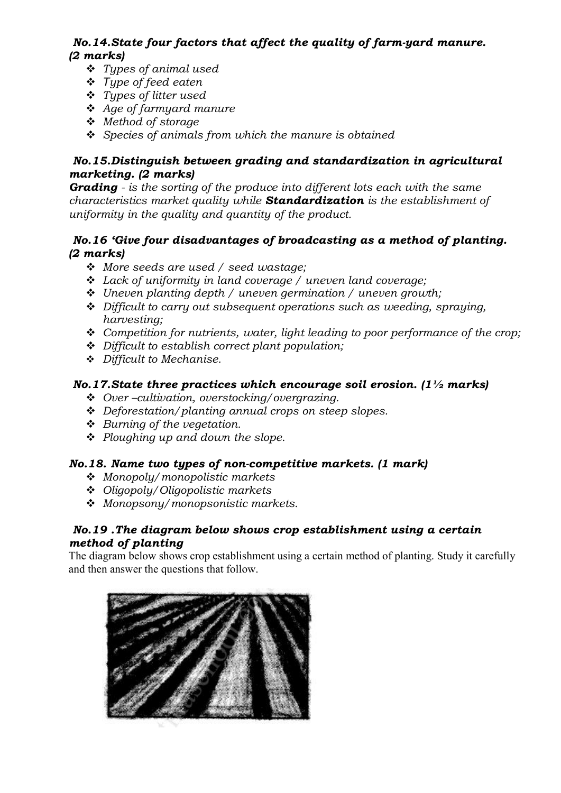# No.14.State four factors that affect the quality of farm-yard manure. (2 marks)

- $\div$  Types of animal used
- v *T*ype of feed eaten
- $\div$  Types of litter used
- $\triangleleft$  Age of farmyard manure
- v Method of storage
- $\div$  Species of animals from which the manure is obtained

# No.15.Distinguish between grading and standardization in agricultural marketing. (2 marks)

**Grading** - is the sorting of the produce into different lots each with the same characteristics market quality while **Standardization** is the establishment of uniformity in the quality and quantity of the product.

## No.16 'Give four disadvantages of broadcasting as a method of planting. (2 marks)

- $\div$  More seeds are used / seed wastage:
- $\div$  Lack of uniformity in land coverage / uneven land coverage;
- $\div$  Uneven planting depth / uneven germination / uneven growth;
- $\triangle$  Difficult to carry out subsequent operations such as weeding, spraying, harvesting;
- $\div$  Competition for nutrients, water, light leading to poor performance of the crop;
- $\triangle$  Difficult to establish correct plant population;
- $\div$  Difficult to Mechanise.

# No.17. State three practices which encourage soil erosion.  $(1\frac{1}{2})$  marks)

- $\triangle$  Over-cultivation, overstocking/overgrazing.
- $\triangle$  Deforestation/planting annual crops on steep slopes.
- $\div$  Burning of the vegetation.
- $\div$  Ploughing up and down the slope.

# No.18. Name two types of non-competitive markets. (1 mark)

- $\div$  Monopoly/monopolistic markets
- $\triangleq$  Oligopoly/Oligopolistic markets
- $\triangleq$  Monopsony/monopsonistic markets.

## No.19 .The diagram below shows crop establishment using a certain method of planting

The diagram below shows crop establishment using a certain method of planting. Study it carefully and then answer the questions that follow.

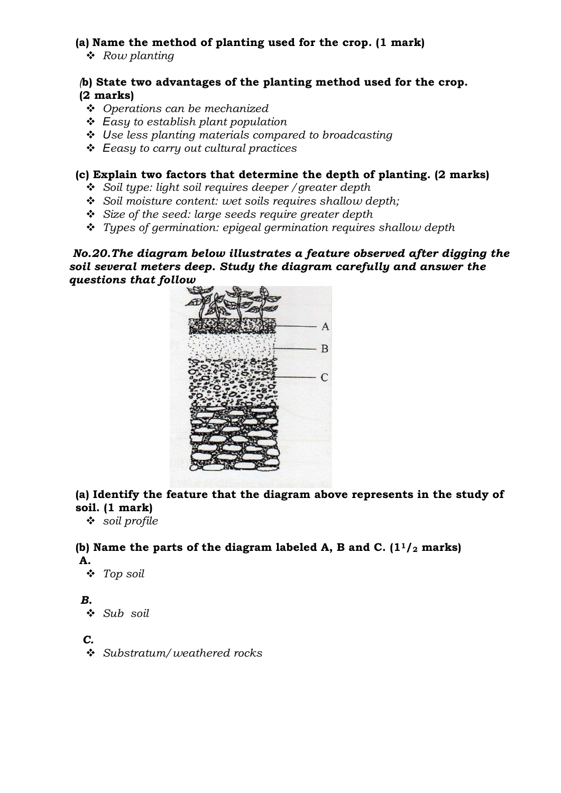## (a) Name the method of planting used for the crop. (1 mark)

 $\triangleleft$  Row planting

#### (b) State two advantages of the planting method used for the crop. (2 marks)

- $\div$  Operations can be mechanized
- v *E*asy to establish plant population
- v *U*se less planting materials compared to broadcasting
- v *E*easy to carry out cultural practices

#### (c) Explain two factors that determine the depth of planting. (2 marks)

- $\div$  Soil type: light soil requires deeper / greater depth
- $\div$  Soil moisture content: wet soils requires shallow depth;
- $\div$  Size of the seed: large seeds require greater depth
- $\cdot$  Types of germination: epigeal germination requires shallow depth

No.20.The diagram below illustrates a feature observed after digging the soil several meters deep. Study the diagram carefully and answer the questions that follow



# (a) Identify the feature that the diagram above represents in the study of soil. (1 mark)

 $\div$  soil profile

#### (b) Name the parts of the diagram labeled A, B and C.  $(1<sup>1</sup>/2$  marks) A.

 $\div$  Top soil

## B.

 $\triangleleft$  Sub soil

## C.

 $\div$  Substratum/weathered rocks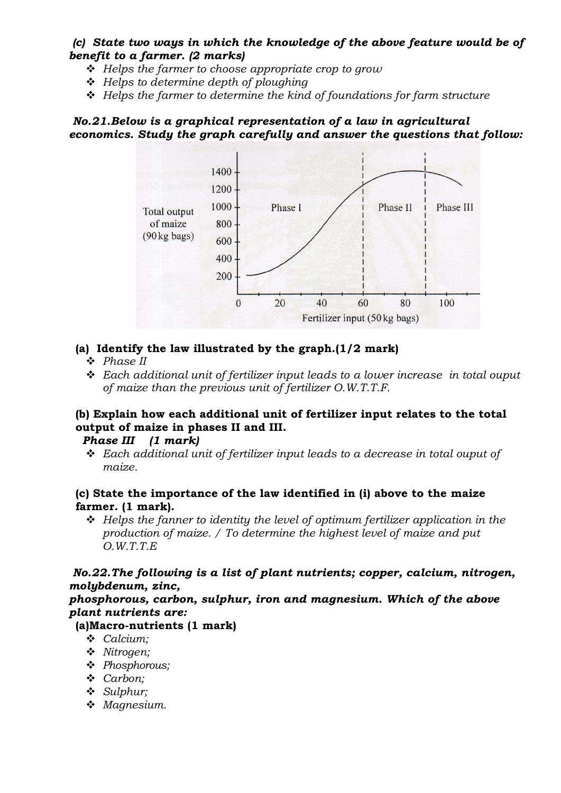#### (c) State two ways in which the knowledge of the above feature would be of benefit to a farmer. (2 marks)

- $\div$  Helps the farmer to choose appropriate crop to grow
- $\div$  Helps to determine depth of ploughing
- $\triangle$  Helps the farmer to determine the kind of foundations for farm structure

## No.21.Below is a graphical representation of a law in agricultural economics. Study the graph carefully and answer the questions that follow:



## (a) Identify the law illustrated by the graph.(1/2 mark)

- $\triangle$  Phase II
- $\div$  Each additional unit of fertilizer input leads to a lower increase in total ouput of maize than the previous unit of fertilizer O.W.T.T.F.

# (b) Explain how each additional unit of fertilizer input relates to the total output of maize in phases II and III.

#### Phase III (1 mark)

 $\triangle$  Each additional unit of fertilizer input leads to a decrease in total ouput of maize.

## (c) State the importance of the law identified in (i) above to the maize farmer. (1 mark).

 $\div$  Helps the fanner to identity the level of optimum fertilizer application in the production of maize. / To determine the highest level of maize and put O.W.T.T.E

# No.22.The following is a list of plant nutrients; copper, calcium, nitrogen, molybdenum, zinc,

phosphorous, carbon, sulphur, iron and magnesium. Which of the above plant nutrients are:

# (a)Macro-nutrients (1 mark)

- $\triangleleft$  Calcium;
- v Nitrogen;
- \* Phosphorous:
- v Carbon;
- $\triangleleft$  Sulphur;
- $%$  Magnesium.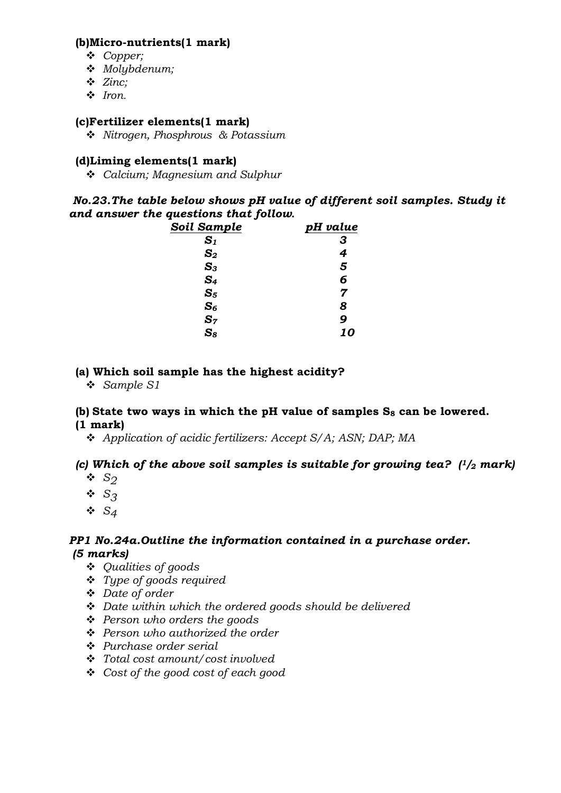#### (b)Micro-nutrients(1 mark)

- v Copper;
- $\bullet$  Molybdenum;
- $\div$  Zinc;
- $\cdot$  Iron.

## (c)Fertilizer elements(1 mark)

**❖** Nitrogen, Phosphrous & Potassium

#### (d)Liming elements(1 mark)

 $\div$  Calcium; Magnesium and Sulphur

#### No.23.The table below shows pH value of different soil samples. Study it and answer the questions that follow**.**

| Soil Sample    | pH value |
|----------------|----------|
| $\mathbf{S}_1$ | 3        |
| $\mathbf{S}_2$ | 4        |
| $S_3$          | 5        |
| S <sub>4</sub> | 6        |
| $S_5$          | 7        |
| $S_6$          | 8        |
| $S_7$          | 9        |
| $S_8$          | 10       |

#### (a) Which soil sample has the highest acidity?

v Sample S1

#### (b) State two ways in which the pH value of samples  $S_8$  can be lowered. (1 mark)

\* Application of acidic fertilizers: Accept S/A; ASN; DAP; MA

## (c) Which of the above soil samples is suitable for growing tea?  $\frac{1}{2}$  mark)

- $\bullet$  S<sub>2</sub>
- $\bullet$  S<sub>3</sub>
- $\ddot{\bullet}$  S<sub>4</sub>

#### PP1 No.24a.Outline the information contained in a purchase order. (5 marks)

- v Qualities of goods
- $\div$  Type of goods required
- v Date of order
- $\div$  Date within which the ordered goods should be delivered
- $\div$  Person who orders the goods
- $\div$  Person who authorized the order
- $\div$  Purchase order serial
- $\div$  Total cost amount/cost involved
- $\triangleleft$  Cost of the good cost of each good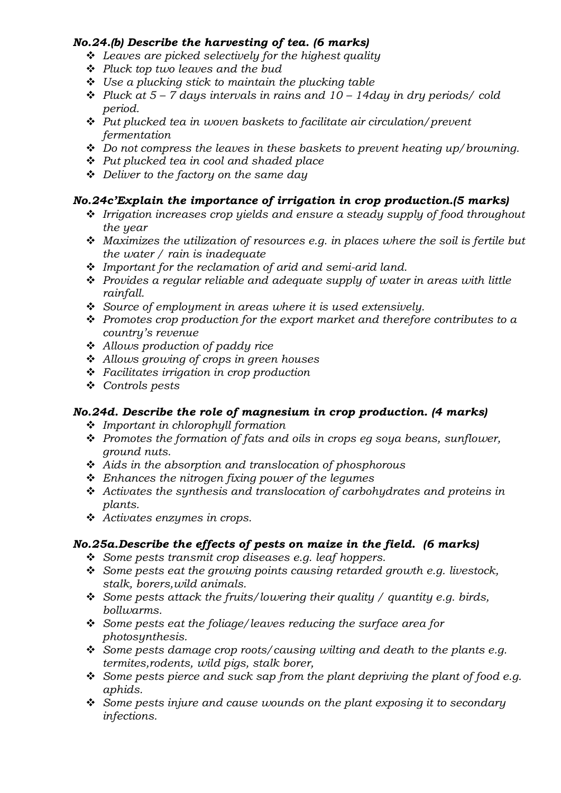## No.24.(b) Describe the harvesting of tea. (6 marks)

- $\triangleleft$  Leaves are picked selectively for the highest quality
- $\div$  Pluck top two leaves and the bud
- $\div$  Use a plucking stick to maintain the plucking table
- $\cdot$  Pluck at 5 7 days intervals in rains and 10 14 day in dry periods/ cold period.
- $\cdot$  Put plucked tea in woven baskets to facilitate air circulation/prevent fermentation
- $\triangleq$  Do not compress the leaves in these baskets to prevent heating up/browning.
- $\div$  Put plucked tea in cool and shaded place
- $\triangle$  Deliver to the factory on the same day

# No.24c'Explain the importance of irrigation in crop production.(5 marks)

- $\cdot$  Irrigation increases crop yields and ensure a steady supply of food throughout the year
- $\cdot$  Maximizes the utilization of resources e.g. in places where the soil is fertile but the water / rain is inadequate
- $\div$  Important for the reclamation of arid and semi-arid land.
- $\hat{\cdot}$  Provides a regular reliable and adequate supply of water in areas with little rainfall.
- $\div$  Source of employment in areas where it is used extensively.
- $\div$  Promotes crop production for the export market and therefore contributes to a country's revenue
- $\div$  Allows production of paddy rice
- $\triangleleft$  Allows growing of crops in green houses
- $\cdot \cdot$  Facilitates irrigation in crop production
- v Controls pests

# No.24d. Describe the role of magnesium in crop production. (4 marks)

- $\cdot$  Important in chlorophyll formation
- $\cdot \cdot$  Promotes the formation of fats and oils in crops eq soya beans, sunflower, ground nuts.
- $\triangleleft$  Aids in the absorption and translocation of phosphorous
- $\div$  Enhances the nitrogen fixing power of the legumes
- $\triangle$  Activates the synthesis and translocation of carbohydrates and proteins in plants.
- $\triangleleft$  Activates enzymes in crops.

# No.25a.Describe the effects of pests on maize in the field. (6 marks)

- $\div$  Some pests transmit crop diseases e.g. leaf hoppers.
- $\div$  Some pests eat the growing points causing retarded growth e.g. livestock, stalk, borers,wild animals.
- Some pests attack the fruits/lowering their quality / quantity e.g. birds, bollwarms.
- $\div$  Some pests eat the foliage/leaves reducing the surface area for photosynthesis.
- Some pests damage crop roots/causing wilting and death to the plants e.g. termites,rodents, wild pigs, stalk borer,
- Some pests pierce and suck sap from the plant depriving the plant of food e.g. aphids.
- $\div$  Some pests injure and cause wounds on the plant exposing it to secondary infections.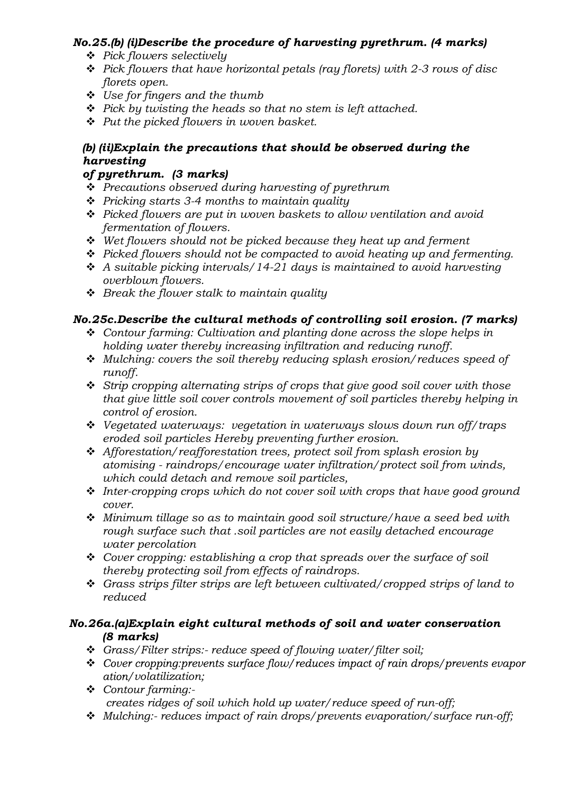# No.25.(b) (i)Describe the procedure of harvesting pyrethrum. (4 marks)

- v Pick flowers selectively
- $\div$  Pick flowers that have horizontal petals (ray florets) with 2-3 rows of disc florets open.
- $\ddot{\bullet}$  Use for fingers and the thumb
- $\div$  Pick by twisting the heads so that no stem is left attached.
- $\div$  Put the picked flowers in woven basket.

# (b) (ii)Explain the precautions that should be observed during the harvesting

# of pyrethrum. (3 marks)

- $\triangle$  Precautions observed during harvesting of pyrethrum
- $\div$  Pricking starts 3-4 months to maintain quality
- $\hat{\cdot}$  Picked flowers are put in woven baskets to allow ventilation and avoid fermentation of flowers.
- $\div$  Wet flowers should not be picked because they heat up and ferment
- $\div$  Picked flowers should not be compacted to avoid heating up and fermenting.
- $\cdot$  A suitable picking intervals/14-21 days is maintained to avoid harvesting overblown flowers.
- $\div$  Break the flower stalk to maintain quality

# No.25c.Describe the cultural methods of controlling soil erosion. (7 marks)

- $\triangle$  Contour farming: Cultivation and planting done across the slope helps in holding water thereby increasing infiltration and reducing runoff.
- $\div$  Mulching: covers the soil thereby reducing splash erosion/reduces speed of runoff.
- $\div$  Strip cropping alternating strips of crops that give good soil cover with those that give little soil cover controls movement of soil particles thereby helping in control of erosion.
- $\div$  Vegetated waterways: vegetation in waterways slows down run off/traps eroded soil particles Hereby preventing further erosion.
- $\triangleleft$  Afforestation/reafforestation trees, protect soil from splash erosion by atomising - raindrops/encourage water infiltration/protect soil from winds, which could detach and remove soil particles,
- $\cdot$  Inter-cropping crops which do not cover soil with crops that have good ground cover.
- $\triangleq$  Minimum tillage so as to maintain good soil structure/have a seed bed with rough surface such that .soil particles are not easily detached encourage water percolation
- $\triangleleft$  Cover cropping: establishing a crop that spreads over the surface of soil thereby protecting soil from effects of raindrops.
- v Grass strips filter strips are left between cultivated/cropped strips of land to reduced

# No.26a.(a)Explain eight cultural methods of soil and water conservation (8 marks)

- \* Grass/Filter strips:- reduce speed of flowing water/filter soil;
- ❖ Cover cropping: prevents surface flow/reduces impact of rain drops/prevents evapor ation/volatilization;
- \* Contour farming:creates ridges of soil which hold up water/reduce speed of run-off;
- $\cdot$  Mulching:- reduces impact of rain drops/prevents evaporation/surface run-off;